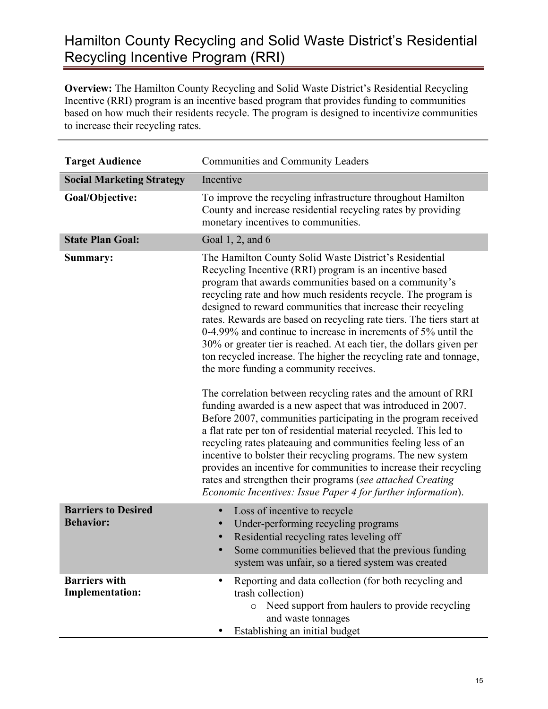## Hamilton County Recycling and Solid Waste District's Residential Recycling Incentive Program (RRI)

**Overview:** The Hamilton County Recycling and Solid Waste District's Residential Recycling Incentive (RRI) program is an incentive based program that provides funding to communities based on how much their residents recycle. The program is designed to incentivize communities to increase their recycling rates.

| <b>Target Audience</b>                         | <b>Communities and Community Leaders</b>                                                                                                                                                                                                                                                                                                                                                                                                                                                                                                                                                                                                                                                                                                                                                                                                                                                                                                                                                                                                                                                                                                                                                                                                                  |
|------------------------------------------------|-----------------------------------------------------------------------------------------------------------------------------------------------------------------------------------------------------------------------------------------------------------------------------------------------------------------------------------------------------------------------------------------------------------------------------------------------------------------------------------------------------------------------------------------------------------------------------------------------------------------------------------------------------------------------------------------------------------------------------------------------------------------------------------------------------------------------------------------------------------------------------------------------------------------------------------------------------------------------------------------------------------------------------------------------------------------------------------------------------------------------------------------------------------------------------------------------------------------------------------------------------------|
| <b>Social Marketing Strategy</b>               | Incentive                                                                                                                                                                                                                                                                                                                                                                                                                                                                                                                                                                                                                                                                                                                                                                                                                                                                                                                                                                                                                                                                                                                                                                                                                                                 |
| Goal/Objective:                                | To improve the recycling infrastructure throughout Hamilton<br>County and increase residential recycling rates by providing<br>monetary incentives to communities.                                                                                                                                                                                                                                                                                                                                                                                                                                                                                                                                                                                                                                                                                                                                                                                                                                                                                                                                                                                                                                                                                        |
| <b>State Plan Goal:</b>                        | Goal 1, 2, and 6                                                                                                                                                                                                                                                                                                                                                                                                                                                                                                                                                                                                                                                                                                                                                                                                                                                                                                                                                                                                                                                                                                                                                                                                                                          |
| Summary:                                       | The Hamilton County Solid Waste District's Residential<br>Recycling Incentive (RRI) program is an incentive based<br>program that awards communities based on a community's<br>recycling rate and how much residents recycle. The program is<br>designed to reward communities that increase their recycling<br>rates. Rewards are based on recycling rate tiers. The tiers start at<br>0-4.99% and continue to increase in increments of 5% until the<br>30% or greater tier is reached. At each tier, the dollars given per<br>ton recycled increase. The higher the recycling rate and tonnage,<br>the more funding a community receives.<br>The correlation between recycling rates and the amount of RRI<br>funding awarded is a new aspect that was introduced in 2007.<br>Before 2007, communities participating in the program received<br>a flat rate per ton of residential material recycled. This led to<br>recycling rates plateauing and communities feeling less of an<br>incentive to bolster their recycling programs. The new system<br>provides an incentive for communities to increase their recycling<br>rates and strengthen their programs (see attached Creating<br>Economic Incentives: Issue Paper 4 for further information). |
| <b>Barriers to Desired</b><br><b>Behavior:</b> | Loss of incentive to recycle<br>$\bullet$<br>Under-performing recycling programs<br>Residential recycling rates leveling off<br>Some communities believed that the previous funding<br>system was unfair, so a tiered system was created                                                                                                                                                                                                                                                                                                                                                                                                                                                                                                                                                                                                                                                                                                                                                                                                                                                                                                                                                                                                                  |
| <b>Barriers with</b><br><b>Implementation:</b> | Reporting and data collection (for both recycling and<br>٠<br>trash collection)<br>o Need support from haulers to provide recycling<br>and waste tonnages<br>Establishing an initial budget                                                                                                                                                                                                                                                                                                                                                                                                                                                                                                                                                                                                                                                                                                                                                                                                                                                                                                                                                                                                                                                               |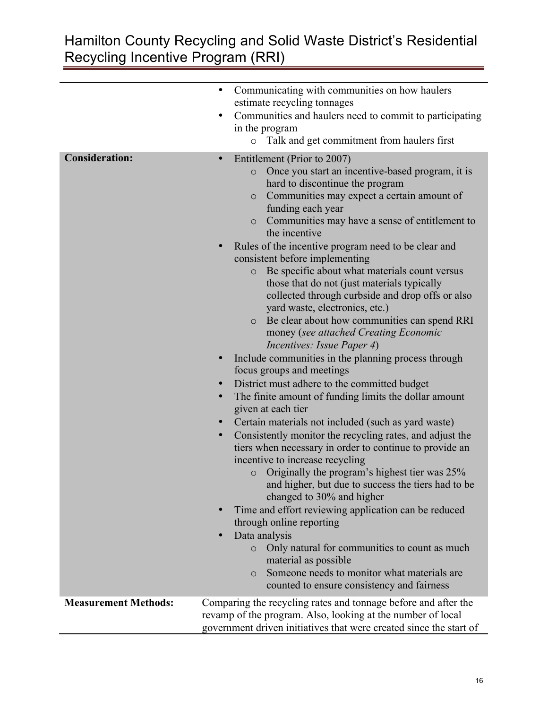## Hamilton County Recycling and Solid Waste District's Residential Recycling Incentive Program (RRI)

|                             | Communicating with communities on how haulers<br>$\bullet$                                                                                                                                                                                                                                                                                                                                                                                                                                                                                                                                                                                                                                                                                                                                                                                                                                                                                                                                                                                                                                                                                                                                                                                                                                                                                                                                                                                              |
|-----------------------------|---------------------------------------------------------------------------------------------------------------------------------------------------------------------------------------------------------------------------------------------------------------------------------------------------------------------------------------------------------------------------------------------------------------------------------------------------------------------------------------------------------------------------------------------------------------------------------------------------------------------------------------------------------------------------------------------------------------------------------------------------------------------------------------------------------------------------------------------------------------------------------------------------------------------------------------------------------------------------------------------------------------------------------------------------------------------------------------------------------------------------------------------------------------------------------------------------------------------------------------------------------------------------------------------------------------------------------------------------------------------------------------------------------------------------------------------------------|
|                             | estimate recycling tonnages                                                                                                                                                                                                                                                                                                                                                                                                                                                                                                                                                                                                                                                                                                                                                                                                                                                                                                                                                                                                                                                                                                                                                                                                                                                                                                                                                                                                                             |
|                             | Communities and haulers need to commit to participating<br>$\bullet$                                                                                                                                                                                                                                                                                                                                                                                                                                                                                                                                                                                                                                                                                                                                                                                                                                                                                                                                                                                                                                                                                                                                                                                                                                                                                                                                                                                    |
|                             | in the program                                                                                                                                                                                                                                                                                                                                                                                                                                                                                                                                                                                                                                                                                                                                                                                                                                                                                                                                                                                                                                                                                                                                                                                                                                                                                                                                                                                                                                          |
|                             | Talk and get commitment from haulers first<br>$\circ$                                                                                                                                                                                                                                                                                                                                                                                                                                                                                                                                                                                                                                                                                                                                                                                                                                                                                                                                                                                                                                                                                                                                                                                                                                                                                                                                                                                                   |
|                             |                                                                                                                                                                                                                                                                                                                                                                                                                                                                                                                                                                                                                                                                                                                                                                                                                                                                                                                                                                                                                                                                                                                                                                                                                                                                                                                                                                                                                                                         |
| <b>Consideration:</b>       | Entitlement (Prior to 2007)<br>$\bullet$<br>Once you start an incentive-based program, it is<br>$\circ$<br>hard to discontinue the program<br>Communities may expect a certain amount of<br>$\circ$<br>funding each year<br>Communities may have a sense of entitlement to<br>$\circ$<br>the incentive<br>Rules of the incentive program need to be clear and<br>consistent before implementing<br>Be specific about what materials count versus<br>$\circ$<br>those that do not (just materials typically<br>collected through curbside and drop offs or also<br>yard waste, electronics, etc.)<br>Be clear about how communities can spend RRI<br>$\circ$<br>money (see attached Creating Economic<br><i>Incentives: Issue Paper 4)</i><br>Include communities in the planning process through<br>$\bullet$<br>focus groups and meetings<br>District must adhere to the committed budget<br>$\bullet$<br>The finite amount of funding limits the dollar amount<br>given at each tier<br>Certain materials not included (such as yard waste)<br>Consistently monitor the recycling rates, and adjust the<br>$\bullet$<br>tiers when necessary in order to continue to provide an<br>incentive to increase recycling<br>Originally the program's highest tier was 25%<br>$\circ$<br>and higher, but due to success the tiers had to be<br>changed to 30% and higher<br>Time and effort reviewing application can be reduced<br>through online reporting |
|                             | Data analysis                                                                                                                                                                                                                                                                                                                                                                                                                                                                                                                                                                                                                                                                                                                                                                                                                                                                                                                                                                                                                                                                                                                                                                                                                                                                                                                                                                                                                                           |
|                             | Only natural for communities to count as much<br>$\circ$<br>material as possible                                                                                                                                                                                                                                                                                                                                                                                                                                                                                                                                                                                                                                                                                                                                                                                                                                                                                                                                                                                                                                                                                                                                                                                                                                                                                                                                                                        |
|                             | Someone needs to monitor what materials are<br>$\circ$<br>counted to ensure consistency and fairness                                                                                                                                                                                                                                                                                                                                                                                                                                                                                                                                                                                                                                                                                                                                                                                                                                                                                                                                                                                                                                                                                                                                                                                                                                                                                                                                                    |
| <b>Measurement Methods:</b> | Comparing the recycling rates and tonnage before and after the                                                                                                                                                                                                                                                                                                                                                                                                                                                                                                                                                                                                                                                                                                                                                                                                                                                                                                                                                                                                                                                                                                                                                                                                                                                                                                                                                                                          |
|                             | revamp of the program. Also, looking at the number of local                                                                                                                                                                                                                                                                                                                                                                                                                                                                                                                                                                                                                                                                                                                                                                                                                                                                                                                                                                                                                                                                                                                                                                                                                                                                                                                                                                                             |
|                             | government driven initiatives that were created since the start of                                                                                                                                                                                                                                                                                                                                                                                                                                                                                                                                                                                                                                                                                                                                                                                                                                                                                                                                                                                                                                                                                                                                                                                                                                                                                                                                                                                      |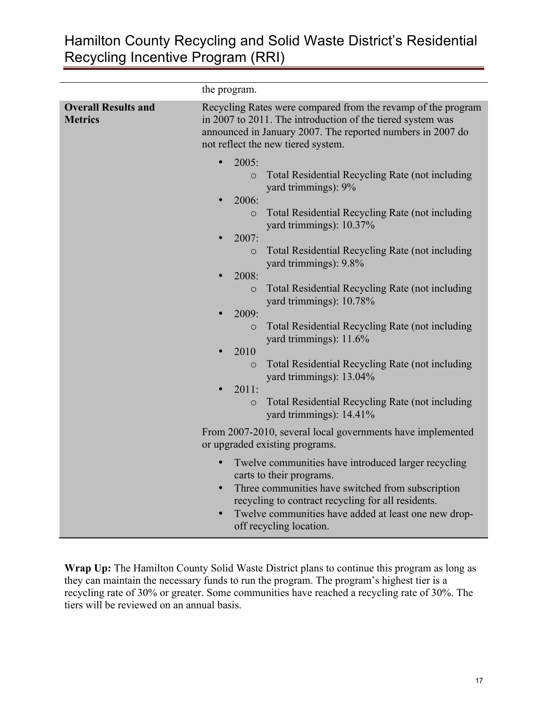## Hamilton County Recycling and Solid Waste District's Residential Recycling Incentive Program (RRI)

|                                                                      | the program.                                                                                                                                                                                                                                                                                                         |
|----------------------------------------------------------------------|----------------------------------------------------------------------------------------------------------------------------------------------------------------------------------------------------------------------------------------------------------------------------------------------------------------------|
| <b>Overall Results and</b><br><b>Metrics</b>                         | Recycling Rates were compared from the revamp of the program<br>in 2007 to 2011. The introduction of the tiered system was<br>announced in January 2007. The reported numbers in 2007 do<br>not reflect the new tiered system.                                                                                       |
|                                                                      | 2005:<br>$\bullet$<br>Total Residential Recycling Rate (not including<br>$\circ$<br>yard trimmings): 9%<br>2006:                                                                                                                                                                                                     |
|                                                                      | Total Residential Recycling Rate (not including<br>$\circ$<br>yard trimmings): 10.37%<br>2007:                                                                                                                                                                                                                       |
|                                                                      | Total Residential Recycling Rate (not including<br>$\circ$<br>yard trimmings): 9.8%<br>2008:                                                                                                                                                                                                                         |
|                                                                      | Total Residential Recycling Rate (not including<br>$\circ$<br>yard trimmings): 10.78%<br>2009:                                                                                                                                                                                                                       |
|                                                                      | Total Residential Recycling Rate (not including<br>$\circ$<br>yard trimmings): 11.6%<br>2010<br>$\bullet$                                                                                                                                                                                                            |
|                                                                      | Total Residential Recycling Rate (not including<br>$\circ$<br>yard trimmings): 13.04%<br>2011:                                                                                                                                                                                                                       |
| $\circ$<br>yard trimmings): 14.41%<br>or upgraded existing programs. | Total Residential Recycling Rate (not including                                                                                                                                                                                                                                                                      |
|                                                                      | From 2007-2010, several local governments have implemented                                                                                                                                                                                                                                                           |
|                                                                      | Twelve communities have introduced larger recycling<br>$\bullet$<br>carts to their programs.<br>Three communities have switched from subscription<br>$\bullet$<br>recycling to contract recycling for all residents.<br>Twelve communities have added at least one new drop-<br>$\bullet$<br>off recycling location. |

Wrap Up: The Hamilton County Solid Waste District plans to continue this program as long as they can maintain the necessary funds to run the program. The program's highest tier is a recycling rate of 30% or greater. Some communities have reached a recycling rate of 30%. The tiers will be reviewed on an annual basis.